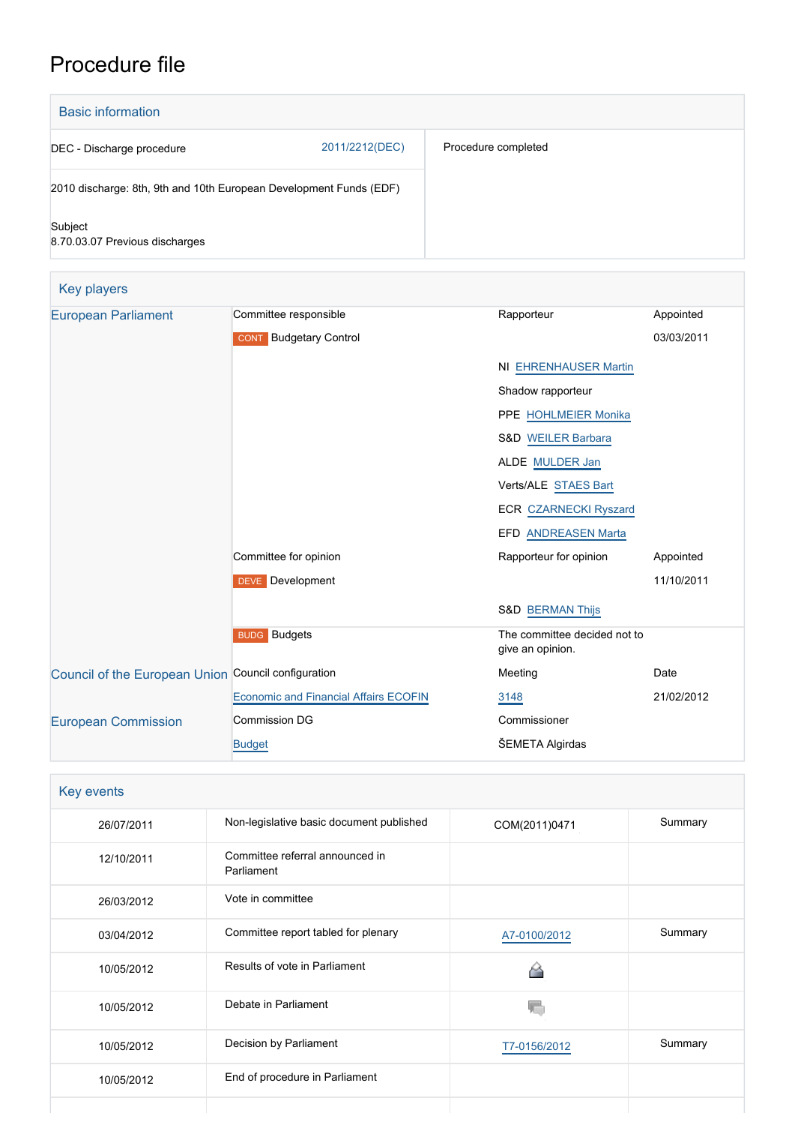# Procedure file

| <b>Basic information</b>                                           |                |                     |  |  |
|--------------------------------------------------------------------|----------------|---------------------|--|--|
| DEC - Discharge procedure                                          | 2011/2212(DEC) | Procedure completed |  |  |
| 2010 discharge: 8th, 9th and 10th European Development Funds (EDF) |                |                     |  |  |
| Subject<br>8.70.03.07 Previous discharges                          |                |                     |  |  |

| Key players                                         |                                              |                                                  |            |
|-----------------------------------------------------|----------------------------------------------|--------------------------------------------------|------------|
| <b>European Parliament</b>                          | Committee responsible                        | Rapporteur                                       | Appointed  |
|                                                     | <b>CONT</b> Budgetary Control                |                                                  | 03/03/2011 |
|                                                     |                                              | <b>NI EHRENHAUSER Martin</b>                     |            |
|                                                     |                                              | Shadow rapporteur                                |            |
|                                                     |                                              | PPE HOHLMEIER Monika                             |            |
|                                                     |                                              | S&D WEILER Barbara                               |            |
|                                                     |                                              | ALDE MULDER Jan                                  |            |
|                                                     |                                              | Verts/ALE STAES Bart                             |            |
|                                                     |                                              | <b>ECR CZARNECKI Ryszard</b>                     |            |
|                                                     |                                              | EFD ANDREASEN Marta                              |            |
|                                                     | Committee for opinion                        | Rapporteur for opinion                           | Appointed  |
|                                                     | <b>DEVE</b> Development                      |                                                  | 11/10/2011 |
|                                                     |                                              | <b>S&amp;D BERMAN Thijs</b>                      |            |
|                                                     | <b>BUDG Budgets</b>                          | The committee decided not to<br>give an opinion. |            |
| Council of the European Union Council configuration |                                              | Meeting                                          | Date       |
|                                                     | <b>Economic and Financial Affairs ECOFIN</b> | 3148                                             | 21/02/2012 |
| <b>European Commission</b>                          | <b>Commission DG</b>                         | Commissioner                                     |            |
|                                                     | <b>Budget</b>                                | ŠEMETA Algirdas                                  |            |

| Key events |                                               |               |         |
|------------|-----------------------------------------------|---------------|---------|
| 26/07/2011 | Non-legislative basic document published      | COM(2011)0471 | Summary |
| 12/10/2011 | Committee referral announced in<br>Parliament |               |         |
| 26/03/2012 | Vote in committee                             |               |         |
| 03/04/2012 | Committee report tabled for plenary           | A7-0100/2012  | Summary |
| 10/05/2012 | Results of vote in Parliament                 |               |         |
| 10/05/2012 | Debate in Parliament                          |               |         |
| 10/05/2012 | Decision by Parliament                        | T7-0156/2012  | Summary |
| 10/05/2012 | End of procedure in Parliament                |               |         |
|            |                                               |               |         |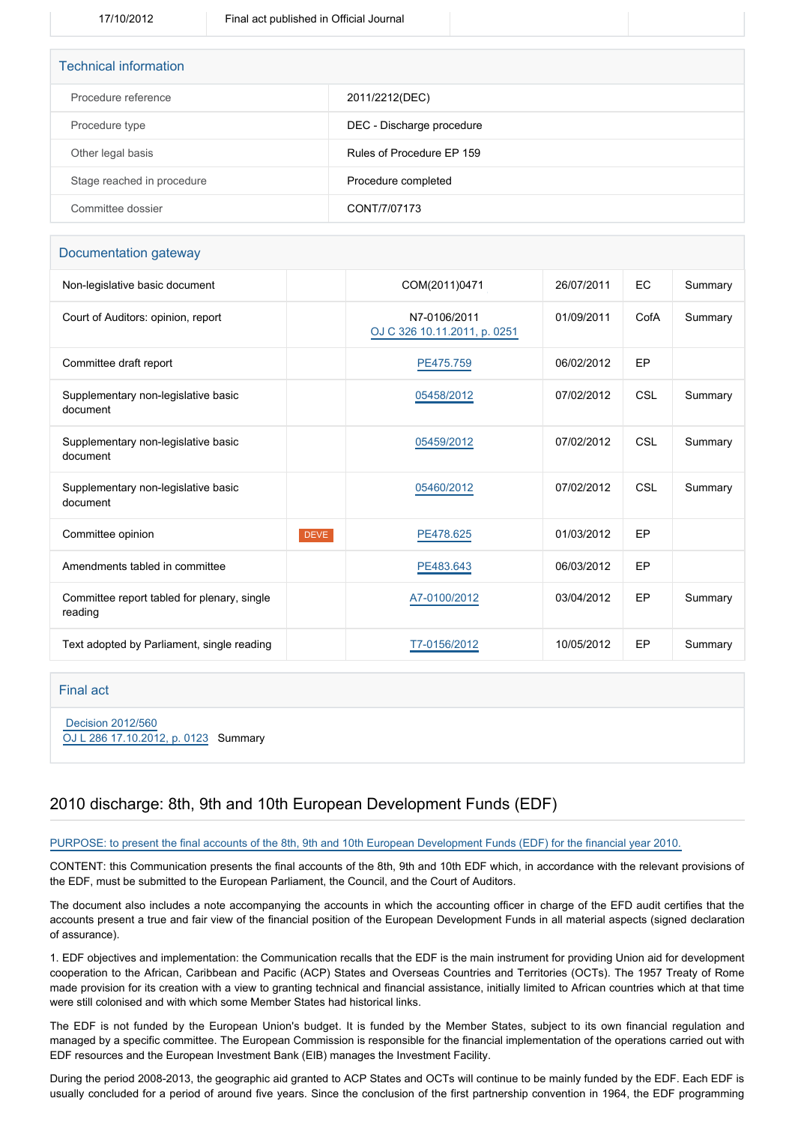| <b>Technical information</b> |                           |
|------------------------------|---------------------------|
| Procedure reference          | 2011/2212(DEC)            |
| Procedure type               | DEC - Discharge procedure |
| Other legal basis            | Rules of Procedure FP 159 |
| Stage reached in procedure   | Procedure completed       |
| Committee dossier            | CONT/7/07173              |

#### Documentation gateway

| Non-legislative basic document                         |             | COM(2011)0471                                | 26/07/2011 | <b>EC</b>  | Summary |
|--------------------------------------------------------|-------------|----------------------------------------------|------------|------------|---------|
| Court of Auditors: opinion, report                     |             | N7-0106/2011<br>OJ C 326 10.11.2011, p. 0251 | 01/09/2011 | CofA       | Summary |
| Committee draft report                                 |             | PE475.759                                    | 06/02/2012 | EP         |         |
| Supplementary non-legislative basic<br>document        |             | 05458/2012                                   | 07/02/2012 | <b>CSL</b> | Summary |
| Supplementary non-legislative basic<br>document        |             | 05459/2012                                   | 07/02/2012 | CSL        | Summary |
| Supplementary non-legislative basic<br>document        |             | 05460/2012                                   | 07/02/2012 | <b>CSL</b> | Summary |
| Committee opinion                                      | <b>DEVE</b> | PE478.625                                    | 01/03/2012 | EP         |         |
| Amendments tabled in committee                         |             | PE483.643                                    | 06/03/2012 | EP         |         |
| Committee report tabled for plenary, single<br>reading |             | A7-0100/2012                                 | 03/04/2012 | EP         | Summary |
| Text adopted by Parliament, single reading             |             | T7-0156/2012                                 | 10/05/2012 | EP         | Summary |

#### Final act

 [Decision 2012/560](https://eur-lex.europa.eu/smartapi/cgi/sga_doc?smartapi!celexplus!prod!CELEXnumdoc&lg=EN&numdoc=32012D0560) [OJ L 286 17.10.2012, p. 0123](https://eur-lex.europa.eu/legal-content/EN/TXT/?uri=OJ:L:2012:286:TOC) Summary

### 2010 discharge: 8th, 9th and 10th European Development Funds (EDF)

#### PURPOSE: to present the final accounts of the 8th, 9th and 10th European Development Funds (EDF) for the financial year 2010.

CONTENT: this Communication presents the final accounts of the 8th, 9th and 10th EDF which, in accordance with the relevant provisions of the EDF, must be submitted to the European Parliament, the Council, and the Court of Auditors.

The document also includes a note accompanying the accounts in which the accounting officer in charge of the EFD audit certifies that the accounts present a true and fair view of the financial position of the European Development Funds in all material aspects (signed declaration of assurance).

1. EDF objectives and implementation: the Communication recalls that the EDF is the main instrument for providing Union aid for development cooperation to the African, Caribbean and Pacific (ACP) States and Overseas Countries and Territories (OCTs). The 1957 Treaty of Rome made provision for its creation with a view to granting technical and financial assistance, initially limited to African countries which at that time were still colonised and with which some Member States had historical links.

The EDF is not funded by the European Union's budget. It is funded by the Member States, subject to its own financial regulation and managed by a specific committee. The European Commission is responsible for the financial implementation of the operations carried out with EDF resources and the European Investment Bank (EIB) manages the Investment Facility.

During the period 2008-2013, the geographic aid granted to ACP States and OCTs will continue to be mainly funded by the EDF. Each EDF is usually concluded for a period of around five years. Since the conclusion of the first partnership convention in 1964, the EDF programming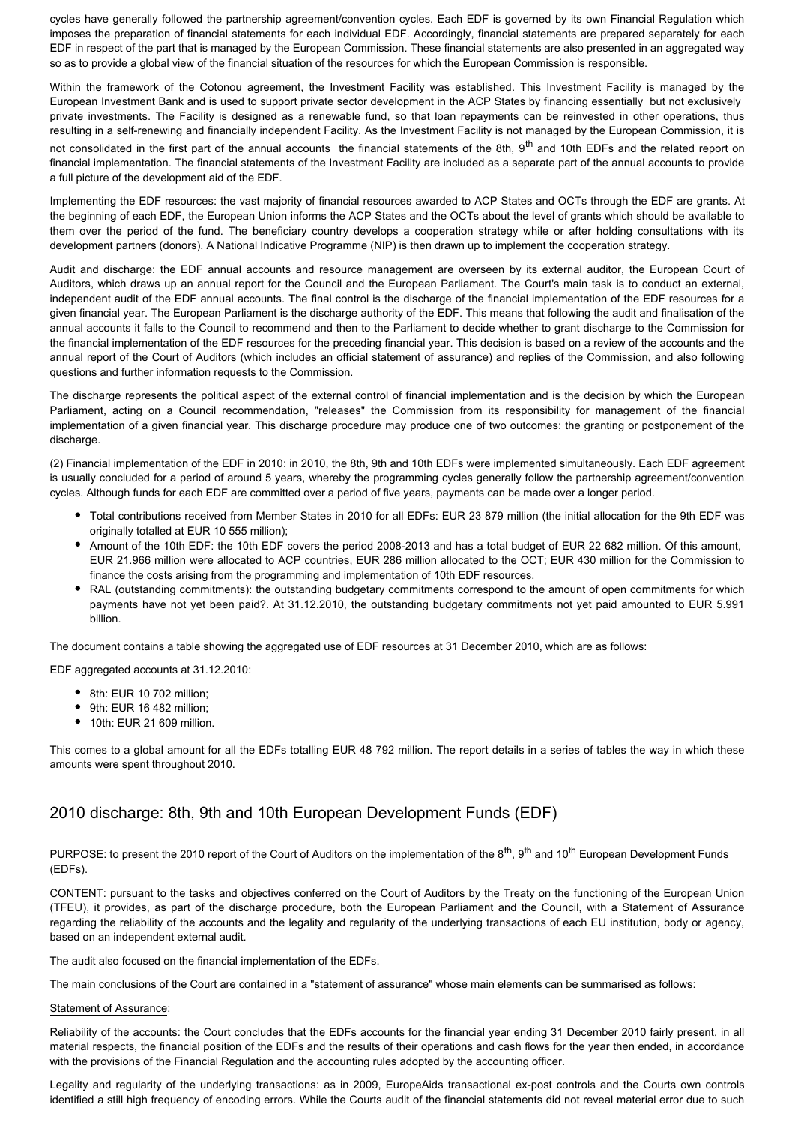cycles have generally followed the partnership agreement/convention cycles. Each EDF is governed by its own Financial Regulation which imposes the preparation of financial statements for each individual EDF. Accordingly, financial statements are prepared separately for each EDF in respect of the part that is managed by the European Commission. These financial statements are also presented in an aggregated way so as to provide a global view of the financial situation of the resources for which the European Commission is responsible.

Within the framework of the Cotonou agreement, the Investment Facility was established. This Investment Facility is managed by the European Investment Bank and is used to support private sector development in the ACP States by financing essentially but not exclusively private investments. The Facility is designed as a renewable fund, so that loan repayments can be reinvested in other operations, thus resulting in a self-renewing and financially independent Facility. As the Investment Facility is not managed by the European Commission, it is not consolidated in the first part of the annual accounts the financial statements of the 8th, 9<sup>th</sup> and 10th EDFs and the related report on financial implementation. The financial statements of the Investment Facility are included as a separate part of the annual accounts to provide a full picture of the development aid of the EDF.

Implementing the EDF resources: the vast majority of financial resources awarded to ACP States and OCTs through the EDF are grants. At the beginning of each EDF, the European Union informs the ACP States and the OCTs about the level of grants which should be available to them over the period of the fund. The beneficiary country develops a cooperation strategy while or after holding consultations with its development partners (donors). A National Indicative Programme (NIP) is then drawn up to implement the cooperation strategy.

Audit and discharge: the EDF annual accounts and resource management are overseen by its external auditor, the European Court of Auditors, which draws up an annual report for the Council and the European Parliament. The Court's main task is to conduct an external, independent audit of the EDF annual accounts. The final control is the discharge of the financial implementation of the EDF resources for a given financial year. The European Parliament is the discharge authority of the EDF. This means that following the audit and finalisation of the annual accounts it falls to the Council to recommend and then to the Parliament to decide whether to grant discharge to the Commission for the financial implementation of the EDF resources for the preceding financial year. This decision is based on a review of the accounts and the annual report of the Court of Auditors (which includes an official statement of assurance) and replies of the Commission, and also following questions and further information requests to the Commission.

The discharge represents the political aspect of the external control of financial implementation and is the decision by which the European Parliament, acting on a Council recommendation, "releases" the Commission from its responsibility for management of the financial implementation of a given financial year. This discharge procedure may produce one of two outcomes: the granting or postponement of the discharge.

(2) Financial implementation of the EDF in 2010: in 2010, the 8th, 9th and 10th EDFs were implemented simultaneously. Each EDF agreement is usually concluded for a period of around 5 years, whereby the programming cycles generally follow the partnership agreement/convention cycles. Although funds for each EDF are committed over a period of five years, payments can be made over a longer period.

- Total contributions received from Member States in 2010 for all EDFs: EUR 23 879 million (the initial allocation for the 9th EDF was originally totalled at EUR 10 555 million);
- Amount of the 10th EDF: the 10th EDF covers the period 2008-2013 and has a total budget of EUR 22 682 million. Of this amount, EUR 21.966 million were allocated to ACP countries, EUR 286 million allocated to the OCT; EUR 430 million for the Commission to finance the costs arising from the programming and implementation of 10th EDF resources.
- RAL (outstanding commitments): the outstanding budgetary commitments correspond to the amount of open commitments for which payments have not yet been paid?. At 31.12.2010, the outstanding budgetary commitments not yet paid amounted to EUR 5.991 billion.

The document contains a table showing the aggregated use of EDF resources at 31 December 2010, which are as follows:

EDF aggregated accounts at 31.12.2010:

- 8th: EUR 10 702 million;
- 9th: EUR 16 482 million;
- 10th: EUR 21 609 million.

This comes to a global amount for all the EDFs totalling EUR 48 792 million. The report details in a series of tables the way in which these amounts were spent throughout 2010.

### 2010 discharge: 8th, 9th and 10th European Development Funds (EDF)

PURPOSE: to present the 2010 report of the Court of Auditors on the implementation of the 8<sup>th</sup>, 9<sup>th</sup> and 10<sup>th</sup> European Development Funds (EDFs).

CONTENT: pursuant to the tasks and objectives conferred on the Court of Auditors by the Treaty on the functioning of the European Union (TFEU), it provides, as part of the discharge procedure, both the European Parliament and the Council, with a Statement of Assurance regarding the reliability of the accounts and the legality and regularity of the underlying transactions of each EU institution, body or agency, based on an independent external audit.

The audit also focused on the financial implementation of the EDFs.

The main conclusions of the Court are contained in a "statement of assurance" whose main elements can be summarised as follows:

#### Statement of Assurance:

Reliability of the accounts: the Court concludes that the EDFs accounts for the financial year ending 31 December 2010 fairly present, in all material respects, the financial position of the EDFs and the results of their operations and cash flows for the year then ended, in accordance with the provisions of the Financial Regulation and the accounting rules adopted by the accounting officer.

Legality and regularity of the underlying transactions: as in 2009, EuropeAids transactional ex-post controls and the Courts own controls identified a still high frequency of encoding errors. While the Courts audit of the financial statements did not reveal material error due to such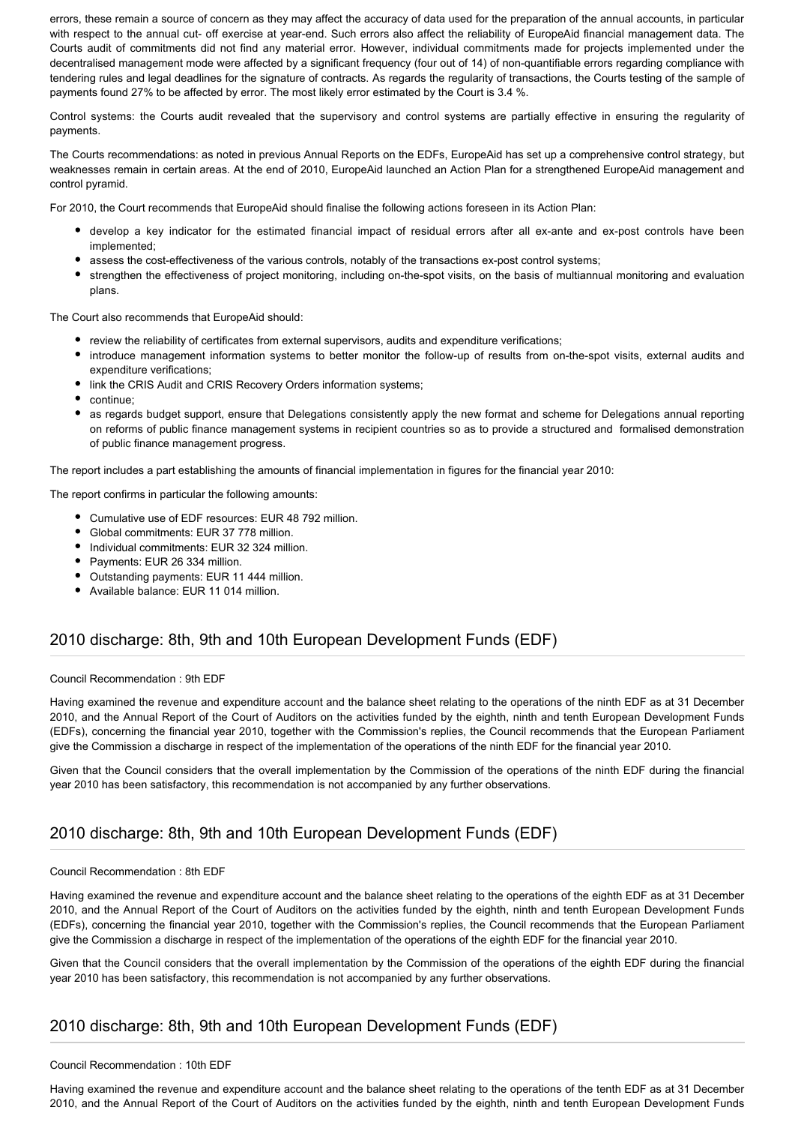errors, these remain a source of concern as they may affect the accuracy of data used for the preparation of the annual accounts, in particular with respect to the annual cut- off exercise at year-end. Such errors also affect the reliability of EuropeAid financial management data. The Courts audit of commitments did not find any material error. However, individual commitments made for projects implemented under the decentralised management mode were affected by a significant frequency (four out of 14) of non-quantifiable errors regarding compliance with tendering rules and legal deadlines for the signature of contracts. As regards the regularity of transactions, the Courts testing of the sample of payments found 27% to be affected by error. The most likely error estimated by the Court is 3.4 %.

Control systems: the Courts audit revealed that the supervisory and control systems are partially effective in ensuring the regularity of payments.

The Courts recommendations: as noted in previous Annual Reports on the EDFs, EuropeAid has set up a comprehensive control strategy, but weaknesses remain in certain areas. At the end of 2010, EuropeAid launched an Action Plan for a strengthened EuropeAid management and control pyramid.

For 2010, the Court recommends that EuropeAid should finalise the following actions foreseen in its Action Plan:

- develop a key indicator for the estimated financial impact of residual errors after all ex-ante and ex-post controls have been implemented;
- assess the cost-effectiveness of the various controls, notably of the transactions ex-post control systems;
- strengthen the effectiveness of project monitoring, including on-the-spot visits, on the basis of multiannual monitoring and evaluation plans.

The Court also recommends that EuropeAid should:

- review the reliability of certificates from external supervisors, audits and expenditure verifications;
- introduce management information systems to better monitor the follow-up of results from on-the-spot visits, external audits and expenditure verifications;
- link the CRIS Audit and CRIS Recovery Orders information systems;
- continue;
- as regards budget support, ensure that Delegations consistently apply the new format and scheme for Delegations annual reporting on reforms of public finance management systems in recipient countries so as to provide a structured and formalised demonstration of public finance management progress.

The report includes a part establishing the amounts of financial implementation in figures for the financial year 2010:

The report confirms in particular the following amounts:

- Cumulative use of EDF resources: EUR 48 792 million.
- $\bullet$ Global commitments: EUR 37 778 million.
- Individual commitments: EUR 32 324 million.
- Payments: EUR 26 334 million.
- Outstanding payments: EUR 11 444 million.
- Available balance: EUR 11 014 million.

### 2010 discharge: 8th, 9th and 10th European Development Funds (EDF)

#### Council Recommendation : 9th EDF

Having examined the revenue and expenditure account and the balance sheet relating to the operations of the ninth EDF as at 31 December 2010, and the Annual Report of the Court of Auditors on the activities funded by the eighth, ninth and tenth European Development Funds (EDFs), concerning the financial year 2010, together with the Commission's replies, the Council recommends that the European Parliament give the Commission a discharge in respect of the implementation of the operations of the ninth EDF for the financial year 2010.

Given that the Council considers that the overall implementation by the Commission of the operations of the ninth EDF during the financial year 2010 has been satisfactory, this recommendation is not accompanied by any further observations.

### 2010 discharge: 8th, 9th and 10th European Development Funds (EDF)

#### Council Recommendation : 8th EDF

Having examined the revenue and expenditure account and the balance sheet relating to the operations of the eighth EDF as at 31 December 2010, and the Annual Report of the Court of Auditors on the activities funded by the eighth, ninth and tenth European Development Funds (EDFs), concerning the financial year 2010, together with the Commission's replies, the Council recommends that the European Parliament give the Commission a discharge in respect of the implementation of the operations of the eighth EDF for the financial year 2010.

Given that the Council considers that the overall implementation by the Commission of the operations of the eighth EDF during the financial year 2010 has been satisfactory, this recommendation is not accompanied by any further observations.

### 2010 discharge: 8th, 9th and 10th European Development Funds (EDF)

#### Council Recommendation : 10th EDF

Having examined the revenue and expenditure account and the balance sheet relating to the operations of the tenth EDF as at 31 December 2010, and the Annual Report of the Court of Auditors on the activities funded by the eighth, ninth and tenth European Development Funds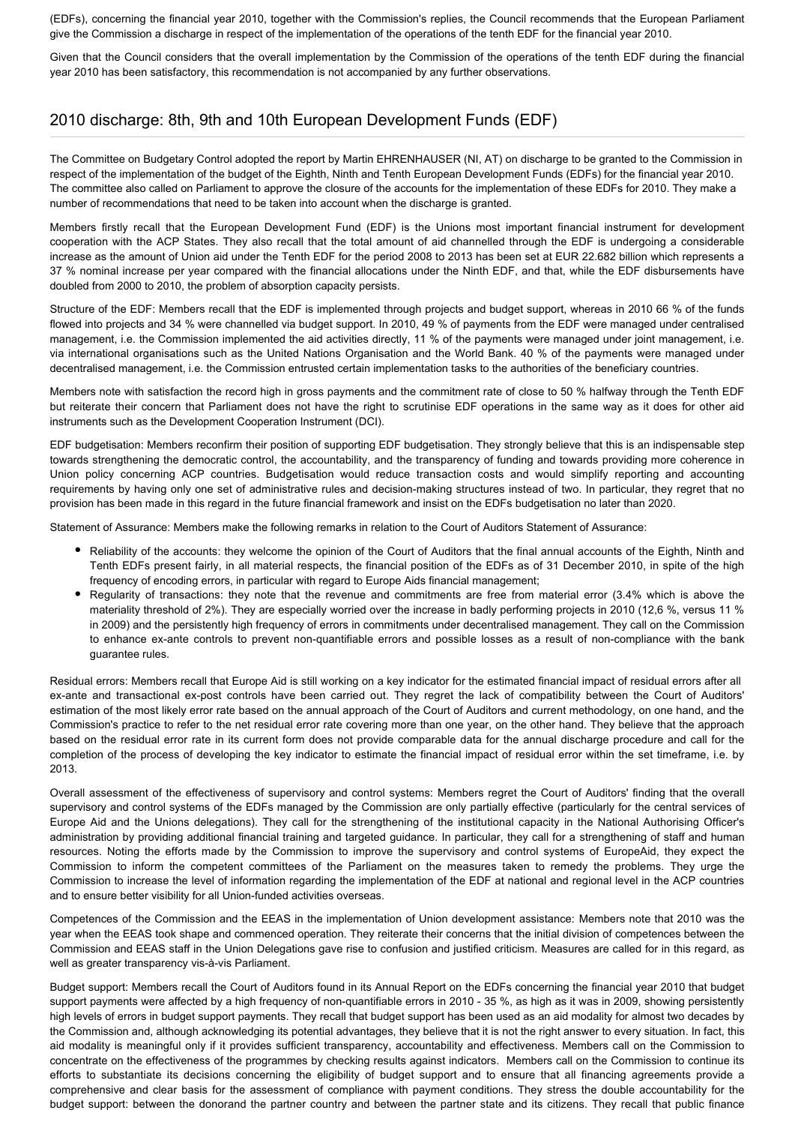(EDFs), concerning the financial year 2010, together with the Commission's replies, the Council recommends that the European Parliament give the Commission a discharge in respect of the implementation of the operations of the tenth EDF for the financial year 2010.

Given that the Council considers that the overall implementation by the Commission of the operations of the tenth EDF during the financial year 2010 has been satisfactory, this recommendation is not accompanied by any further observations.

# 2010 discharge: 8th, 9th and 10th European Development Funds (EDF)

The Committee on Budgetary Control adopted the report by Martin EHRENHAUSER (NI, AT) on discharge to be granted to the Commission in respect of the implementation of the budget of the Eighth, Ninth and Tenth European Development Funds (EDFs) for the financial year 2010. The committee also called on Parliament to approve the closure of the accounts for the implementation of these EDFs for 2010. They make a number of recommendations that need to be taken into account when the discharge is granted.

Members firstly recall that the European Development Fund (EDF) is the Unions most important financial instrument for development cooperation with the ACP States. They also recall that the total amount of aid channelled through the EDF is undergoing a considerable increase as the amount of Union aid under the Tenth EDF for the period 2008 to 2013 has been set at EUR 22.682 billion which represents a 37 % nominal increase per year compared with the financial allocations under the Ninth EDF, and that, while the EDF disbursements have doubled from 2000 to 2010, the problem of absorption capacity persists.

Structure of the EDF: Members recall that the EDF is implemented through projects and budget support, whereas in 2010 66 % of the funds flowed into projects and 34 % were channelled via budget support. In 2010, 49 % of payments from the EDF were managed under centralised management, i.e. the Commission implemented the aid activities directly, 11 % of the payments were managed under joint management, i.e. via international organisations such as the United Nations Organisation and the World Bank. 40 % of the payments were managed under decentralised management, i.e. the Commission entrusted certain implementation tasks to the authorities of the beneficiary countries.

Members note with satisfaction the record high in gross payments and the commitment rate of close to 50 % halfway through the Tenth EDF but reiterate their concern that Parliament does not have the right to scrutinise EDF operations in the same way as it does for other aid instruments such as the Development Cooperation Instrument (DCI).

EDF budgetisation: Members reconfirm their position of supporting EDF budgetisation. They strongly believe that this is an indispensable step towards strengthening the democratic control, the accountability, and the transparency of funding and towards providing more coherence in Union policy concerning ACP countries. Budgetisation would reduce transaction costs and would simplify reporting and accounting requirements by having only one set of administrative rules and decision-making structures instead of two. In particular, they regret that no provision has been made in this regard in the future financial framework and insist on the EDFs budgetisation no later than 2020.

Statement of Assurance: Members make the following remarks in relation to the Court of Auditors Statement of Assurance:

- Reliability of the accounts: they welcome the opinion of the Court of Auditors that the final annual accounts of the Eighth, Ninth and Tenth EDFs present fairly, in all material respects, the financial position of the EDFs as of 31 December 2010, in spite of the high frequency of encoding errors, in particular with regard to Europe Aids financial management;
- Regularity of transactions: they note that the revenue and commitments are free from material error (3.4% which is above the materiality threshold of 2%). They are especially worried over the increase in badly performing projects in 2010 (12,6 %, versus 11 % in 2009) and the persistently high frequency of errors in commitments under decentralised management. They call on the Commission to enhance ex-ante controls to prevent non-quantifiable errors and possible losses as a result of non-compliance with the bank guarantee rules.

Residual errors: Members recall that Europe Aid is still working on a key indicator for the estimated financial impact of residual errors after all ex-ante and transactional ex-post controls have been carried out. They regret the lack of compatibility between the Court of Auditors' estimation of the most likely error rate based on the annual approach of the Court of Auditors and current methodology, on one hand, and the Commission's practice to refer to the net residual error rate covering more than one year, on the other hand. They believe that the approach based on the residual error rate in its current form does not provide comparable data for the annual discharge procedure and call for the completion of the process of developing the key indicator to estimate the financial impact of residual error within the set timeframe, i.e. by 2013.

Overall assessment of the effectiveness of supervisory and control systems: Members regret the Court of Auditors' finding that the overall supervisory and control systems of the EDFs managed by the Commission are only partially effective (particularly for the central services of Europe Aid and the Unions delegations). They call for the strengthening of the institutional capacity in the National Authorising Officer's administration by providing additional financial training and targeted guidance. In particular, they call for a strengthening of staff and human resources. Noting the efforts made by the Commission to improve the supervisory and control systems of EuropeAid, they expect the Commission to inform the competent committees of the Parliament on the measures taken to remedy the problems. They urge the Commission to increase the level of information regarding the implementation of the EDF at national and regional level in the ACP countries and to ensure better visibility for all Union-funded activities overseas.

Competences of the Commission and the EEAS in the implementation of Union development assistance: Members note that 2010 was the year when the EEAS took shape and commenced operation. They reiterate their concerns that the initial division of competences between the Commission and EEAS staff in the Union Delegations gave rise to confusion and justified criticism. Measures are called for in this regard, as well as greater transparency vis-à-vis Parliament.

Budget support: Members recall the Court of Auditors found in its Annual Report on the EDFs concerning the financial year 2010 that budget support payments were affected by a high frequency of non-quantifiable errors in 2010 - 35 %, as high as it was in 2009, showing persistently high levels of errors in budget support payments. They recall that budget support has been used as an aid modality for almost two decades by the Commission and, although acknowledging its potential advantages, they believe that it is not the right answer to every situation. In fact, this aid modality is meaningful only if it provides sufficient transparency, accountability and effectiveness. Members call on the Commission to concentrate on the effectiveness of the programmes by checking results against indicators. Members call on the Commission to continue its efforts to substantiate its decisions concerning the eligibility of budget support and to ensure that all financing agreements provide a comprehensive and clear basis for the assessment of compliance with payment conditions. They stress the double accountability for the budget support: between the donorand the partner country and between the partner state and its citizens. They recall that public finance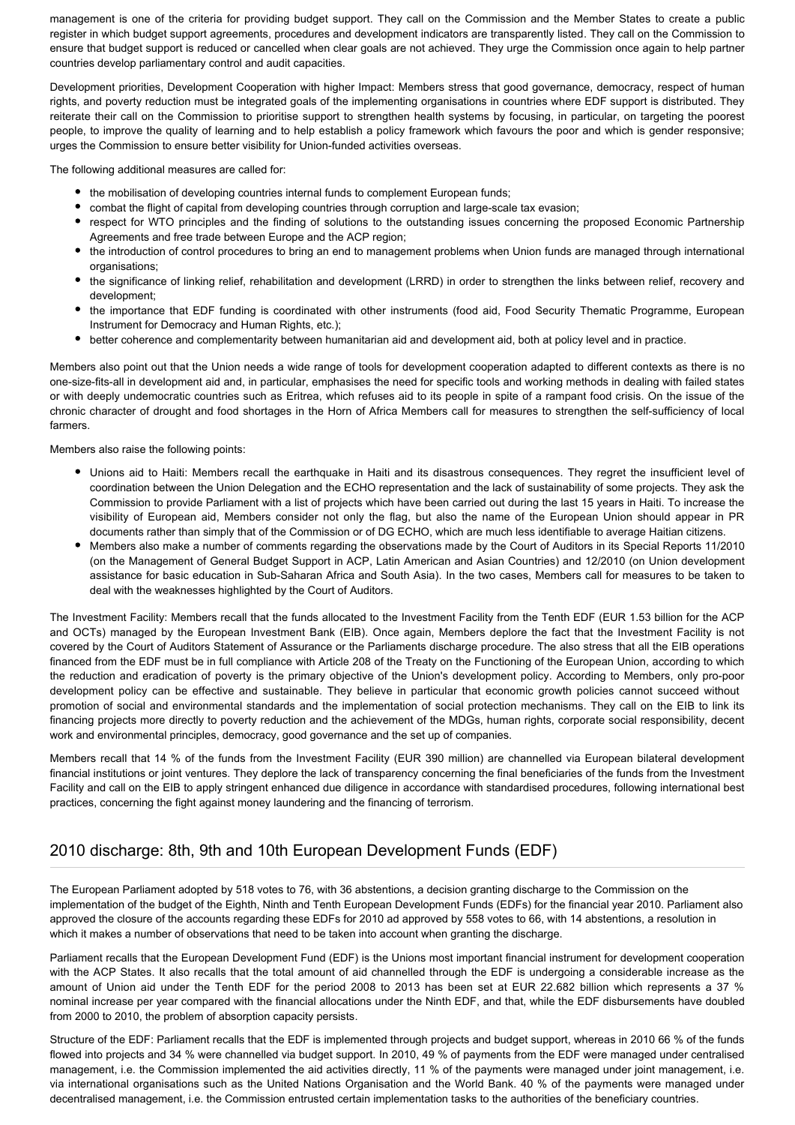management is one of the criteria for providing budget support. They call on the Commission and the Member States to create a public register in which budget support agreements, procedures and development indicators are transparently listed. They call on the Commission to ensure that budget support is reduced or cancelled when clear goals are not achieved. They urge the Commission once again to help partner countries develop parliamentary control and audit capacities.

Development priorities, Development Cooperation with higher Impact: Members stress that good governance, democracy, respect of human rights, and poverty reduction must be integrated goals of the implementing organisations in countries where EDF support is distributed. They reiterate their call on the Commission to prioritise support to strengthen health systems by focusing, in particular, on targeting the poorest people, to improve the quality of learning and to help establish a policy framework which favours the poor and which is gender responsive; urges the Commission to ensure better visibility for Union-funded activities overseas.

The following additional measures are called for:

- the mobilisation of developing countries internal funds to complement European funds;
- combat the flight of capital from developing countries through corruption and large-scale tax evasion;
- respect for WTO principles and the finding of solutions to the outstanding issues concerning the proposed Economic Partnership Agreements and free trade between Europe and the ACP region;
- the introduction of control procedures to bring an end to management problems when Union funds are managed through international organisations;
- the significance of linking relief, rehabilitation and development (LRRD) in order to strengthen the links between relief, recovery and development;
- the importance that EDF funding is coordinated with other instruments (food aid, Food Security Thematic Programme, European Instrument for Democracy and Human Rights, etc.);
- better coherence and complementarity between humanitarian aid and development aid, both at policy level and in practice.

Members also point out that the Union needs a wide range of tools for development cooperation adapted to different contexts as there is no one-size-fits-all in development aid and, in particular, emphasises the need for specific tools and working methods in dealing with failed states or with deeply undemocratic countries such as Eritrea, which refuses aid to its people in spite of a rampant food crisis. On the issue of the chronic character of drought and food shortages in the Horn of Africa Members call for measures to strengthen the self-sufficiency of local farmers.

Members also raise the following points:

- Unions aid to Haiti: Members recall the earthquake in Haiti and its disastrous consequences. They regret the insufficient level of coordination between the Union Delegation and the ECHO representation and the lack of sustainability of some projects. They ask the Commission to provide Parliament with a list of projects which have been carried out during the last 15 years in Haiti. To increase the visibility of European aid, Members consider not only the flag, but also the name of the European Union should appear in PR documents rather than simply that of the Commission or of DG ECHO, which are much less identifiable to average Haitian citizens.
- Members also make a number of comments regarding the observations made by the Court of Auditors in its Special Reports 11/2010 (on the Management of General Budget Support in ACP, Latin American and Asian Countries) and 12/2010 (on Union development assistance for basic education in Sub-Saharan Africa and South Asia). In the two cases, Members call for measures to be taken to deal with the weaknesses highlighted by the Court of Auditors.

The Investment Facility: Members recall that the funds allocated to the Investment Facility from the Tenth EDF (EUR 1.53 billion for the ACP and OCTs) managed by the European Investment Bank (EIB). Once again, Members deplore the fact that the Investment Facility is not covered by the Court of Auditors Statement of Assurance or the Parliaments discharge procedure. The also stress that all the EIB operations financed from the EDF must be in full compliance with Article 208 of the Treaty on the Functioning of the European Union, according to which the reduction and eradication of poverty is the primary objective of the Union's development policy. According to Members, only pro-poor development policy can be effective and sustainable. They believe in particular that economic growth policies cannot succeed without promotion of social and environmental standards and the implementation of social protection mechanisms. They call on the EIB to link its financing projects more directly to poverty reduction and the achievement of the MDGs, human rights, corporate social responsibility, decent work and environmental principles, democracy, good governance and the set up of companies.

Members recall that 14 % of the funds from the Investment Facility (EUR 390 million) are channelled via European bilateral development financial institutions or joint ventures. They deplore the lack of transparency concerning the final beneficiaries of the funds from the Investment Facility and call on the EIB to apply stringent enhanced due diligence in accordance with standardised procedures, following international best practices, concerning the fight against money laundering and the financing of terrorism.

# 2010 discharge: 8th, 9th and 10th European Development Funds (EDF)

The European Parliament adopted by 518 votes to 76, with 36 abstentions, a decision granting discharge to the Commission on the implementation of the budget of the Eighth, Ninth and Tenth European Development Funds (EDFs) for the financial year 2010. Parliament also approved the closure of the accounts regarding these EDFs for 2010 ad approved by 558 votes to 66, with 14 abstentions, a resolution in which it makes a number of observations that need to be taken into account when granting the discharge.

Parliament recalls that the European Development Fund (EDF) is the Unions most important financial instrument for development cooperation with the ACP States. It also recalls that the total amount of aid channelled through the EDF is undergoing a considerable increase as the amount of Union aid under the Tenth EDF for the period 2008 to 2013 has been set at EUR 22.682 billion which represents a 37 % nominal increase per year compared with the financial allocations under the Ninth EDF, and that, while the EDF disbursements have doubled from 2000 to 2010, the problem of absorption capacity persists.

Structure of the EDF: Parliament recalls that the EDF is implemented through projects and budget support, whereas in 2010 66 % of the funds flowed into projects and 34 % were channelled via budget support. In 2010, 49 % of payments from the EDF were managed under centralised management, i.e. the Commission implemented the aid activities directly, 11 % of the payments were managed under joint management, i.e. via international organisations such as the United Nations Organisation and the World Bank. 40 % of the payments were managed under decentralised management, i.e. the Commission entrusted certain implementation tasks to the authorities of the beneficiary countries.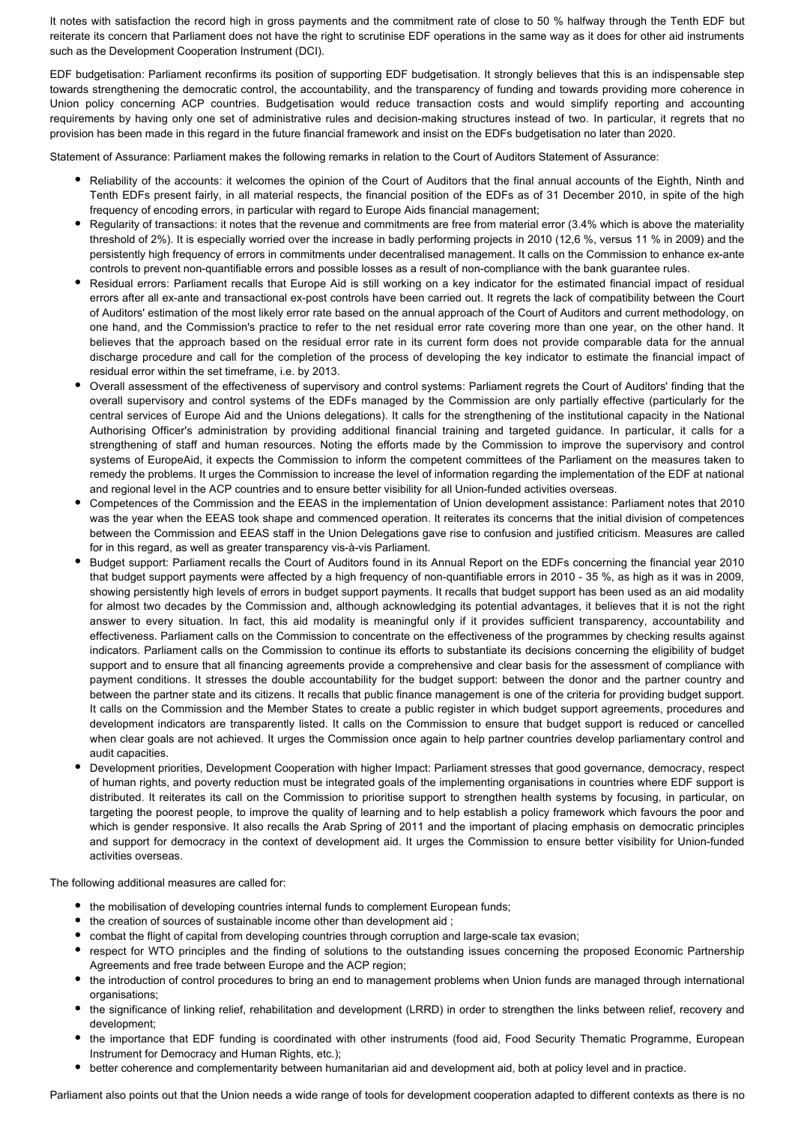It notes with satisfaction the record high in gross payments and the commitment rate of close to 50 % halfway through the Tenth EDF but reiterate its concern that Parliament does not have the right to scrutinise EDF operations in the same way as it does for other aid instruments such as the Development Cooperation Instrument (DCI).

EDF budgetisation: Parliament reconfirms its position of supporting EDF budgetisation. It strongly believes that this is an indispensable step towards strengthening the democratic control, the accountability, and the transparency of funding and towards providing more coherence in Union policy concerning ACP countries. Budgetisation would reduce transaction costs and would simplify reporting and accounting requirements by having only one set of administrative rules and decision-making structures instead of two. In particular, it regrets that no provision has been made in this regard in the future financial framework and insist on the EDFs budgetisation no later than 2020.

Statement of Assurance: Parliament makes the following remarks in relation to the Court of Auditors Statement of Assurance:

- Reliability of the accounts: it welcomes the opinion of the Court of Auditors that the final annual accounts of the Eighth, Ninth and Tenth EDFs present fairly, in all material respects, the financial position of the EDFs as of 31 December 2010, in spite of the high frequency of encoding errors, in particular with regard to Europe Aids financial management;
- Regularity of transactions: it notes that the revenue and commitments are free from material error (3.4% which is above the materiality threshold of 2%). It is especially worried over the increase in badly performing projects in 2010 (12,6 %, versus 11 % in 2009) and the persistently high frequency of errors in commitments under decentralised management. It calls on the Commission to enhance ex-ante controls to prevent non-quantifiable errors and possible losses as a result of non-compliance with the bank guarantee rules.
- Residual errors: Parliament recalls that Europe Aid is still working on a key indicator for the estimated financial impact of residual errors after all ex-ante and transactional ex-post controls have been carried out. It regrets the lack of compatibility between the Court of Auditors' estimation of the most likely error rate based on the annual approach of the Court of Auditors and current methodology, on one hand, and the Commission's practice to refer to the net residual error rate covering more than one year, on the other hand. It believes that the approach based on the residual error rate in its current form does not provide comparable data for the annual discharge procedure and call for the completion of the process of developing the key indicator to estimate the financial impact of residual error within the set timeframe, i.e. by 2013.
- Overall assessment of the effectiveness of supervisory and control systems: Parliament regrets the Court of Auditors' finding that the overall supervisory and control systems of the EDFs managed by the Commission are only partially effective (particularly for the central services of Europe Aid and the Unions delegations). It calls for the strengthening of the institutional capacity in the National Authorising Officer's administration by providing additional financial training and targeted guidance. In particular, it calls for a strengthening of staff and human resources. Noting the efforts made by the Commission to improve the supervisory and control systems of EuropeAid, it expects the Commission to inform the competent committees of the Parliament on the measures taken to remedy the problems. It urges the Commission to increase the level of information regarding the implementation of the EDF at national and regional level in the ACP countries and to ensure better visibility for all Union-funded activities overseas.
- Competences of the Commission and the EEAS in the implementation of Union development assistance: Parliament notes that 2010 was the year when the EEAS took shape and commenced operation. It reiterates its concerns that the initial division of competences between the Commission and EEAS staff in the Union Delegations gave rise to confusion and justified criticism. Measures are called for in this regard, as well as greater transparency vis-à-vis Parliament.
- Budget support: Parliament recalls the Court of Auditors found in its Annual Report on the EDFs concerning the financial year 2010 that budget support payments were affected by a high frequency of non-quantifiable errors in 2010 - 35 %, as high as it was in 2009, showing persistently high levels of errors in budget support payments. It recalls that budget support has been used as an aid modality for almost two decades by the Commission and, although acknowledging its potential advantages, it believes that it is not the right answer to every situation. In fact, this aid modality is meaningful only if it provides sufficient transparency, accountability and effectiveness. Parliament calls on the Commission to concentrate on the effectiveness of the programmes by checking results against indicators. Parliament calls on the Commission to continue its efforts to substantiate its decisions concerning the eligibility of budget support and to ensure that all financing agreements provide a comprehensive and clear basis for the assessment of compliance with payment conditions. It stresses the double accountability for the budget support: between the donor and the partner country and between the partner state and its citizens. It recalls that public finance management is one of the criteria for providing budget support. It calls on the Commission and the Member States to create a public register in which budget support agreements, procedures and development indicators are transparently listed. It calls on the Commission to ensure that budget support is reduced or cancelled when clear goals are not achieved. It urges the Commission once again to help partner countries develop parliamentary control and audit capacities.
- Development priorities, Development Cooperation with higher Impact: Parliament stresses that good governance, democracy, respect of human rights, and poverty reduction must be integrated goals of the implementing organisations in countries where EDF support is distributed. It reiterates its call on the Commission to prioritise support to strengthen health systems by focusing, in particular, on targeting the poorest people, to improve the quality of learning and to help establish a policy framework which favours the poor and which is gender responsive. It also recalls the Arab Spring of 2011 and the important of placing emphasis on democratic principles and support for democracy in the context of development aid. It urges the Commission to ensure better visibility for Union-funded activities overseas.

The following additional measures are called for:

- the mobilisation of developing countries internal funds to complement European funds;
- the creation of sources of sustainable income other than development aid ;
- combat the flight of capital from developing countries through corruption and large-scale tax evasion;
- respect for WTO principles and the finding of solutions to the outstanding issues concerning the proposed Economic Partnership Agreements and free trade between Europe and the ACP region;
- the introduction of control procedures to bring an end to management problems when Union funds are managed through international organisations:
- the significance of linking relief, rehabilitation and development (LRRD) in order to strengthen the links between relief, recovery and development;
- the importance that EDF funding is coordinated with other instruments (food aid, Food Security Thematic Programme, European Instrument for Democracy and Human Rights, etc.);
- better coherence and complementarity between humanitarian aid and development aid, both at policy level and in practice.

Parliament also points out that the Union needs a wide range of tools for development cooperation adapted to different contexts as there is no